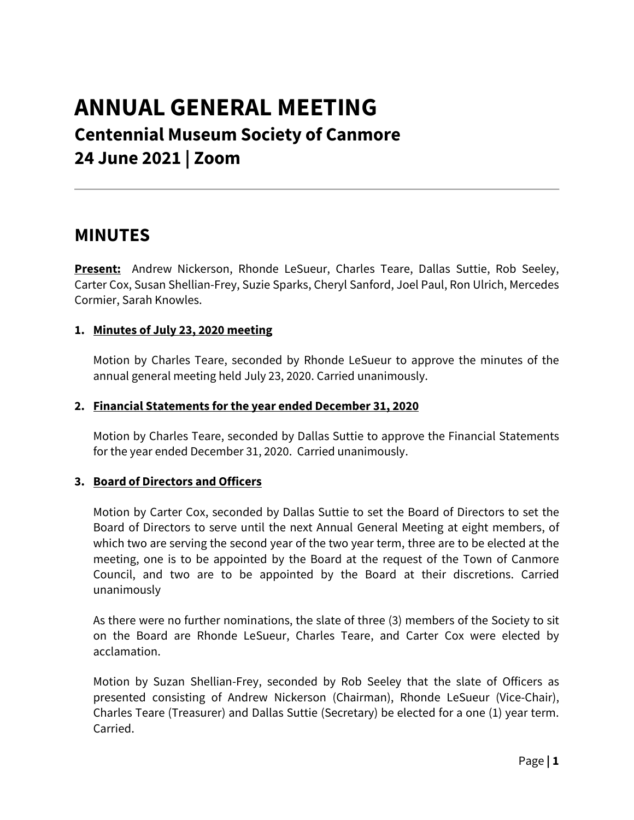# **ANNUAL GENERAL MEETING Centennial Museum Society of Canmore 24 June 2021 | Zoom**

# **MINUTES**

**Present:** Andrew Nickerson, Rhonde LeSueur, Charles Teare, Dallas Suttie, Rob Seeley, Carter Cox, Susan Shellian-Frey, Suzie Sparks, Cheryl Sanford, Joel Paul, Ron Ulrich, Mercedes Cormier, Sarah Knowles.

# **1. Minutes of July 23, 2020 meeting**

Motion by Charles Teare, seconded by Rhonde LeSueur to approve the minutes of the annual general meeting held July 23, 2020. Carried unanimously.

#### **2. Financial Statements for the year ended December 31, 2020**

Motion by Charles Teare, seconded by Dallas Suttie to approve the Financial Statements for the year ended December 31, 2020. Carried unanimously.

# **3. Board of Directors and Officers**

Motion by Carter Cox, seconded by Dallas Suttie to set the Board of Directors to set the Board of Directors to serve until the next Annual General Meeting at eight members, of which two are serving the second year of the two year term, three are to be elected at the meeting, one is to be appointed by the Board at the request of the Town of Canmore Council, and two are to be appointed by the Board at their discretions. Carried unanimously

As there were no further nominations, the slate of three (3) members of the Society to sit on the Board are Rhonde LeSueur, Charles Teare, and Carter Cox were elected by acclamation.

Motion by Suzan Shellian-Frey, seconded by Rob Seeley that the slate of Officers as presented consisting of Andrew Nickerson (Chairman), Rhonde LeSueur (Vice-Chair), Charles Teare (Treasurer) and Dallas Suttie (Secretary) be elected for a one (1) year term. Carried.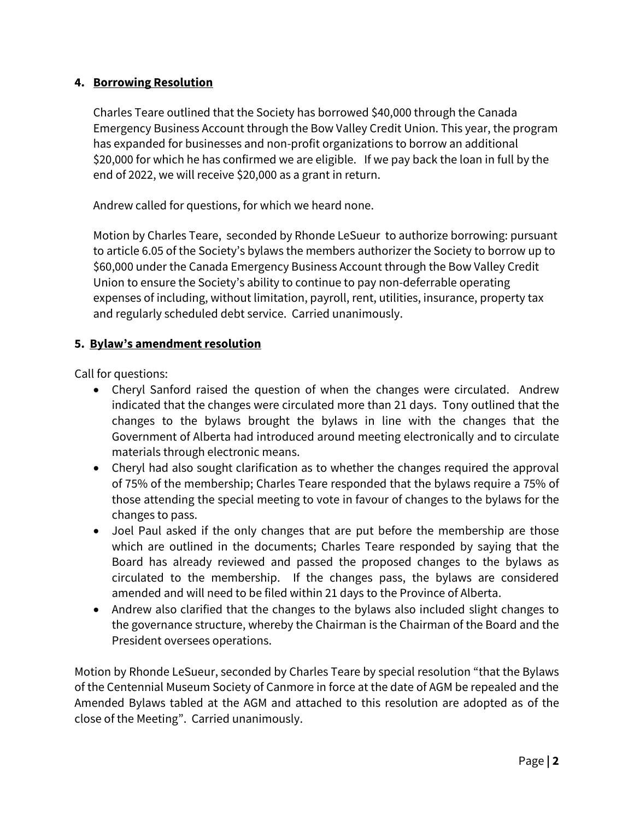# **4. Borrowing Resolution**

Charles Teare outlined that the Society has borrowed \$40,000 through the Canada Emergency Business Account through the Bow Valley Credit Union. This year, the program has expanded for businesses and non-profit organizations to borrow an additional \$20,000 for which he has confirmed we are eligible. If we pay back the loan in full by the end of 2022, we will receive \$20,000 as a grant in return.

Andrew called for questions, for which we heard none.

Motion by Charles Teare, seconded by Rhonde LeSueur to authorize borrowing: pursuant to article 6.05 of the Society's bylaws the members authorizer the Society to borrow up to \$60,000 under the Canada Emergency Business Account through the Bow Valley Credit Union to ensure the Society's ability to continue to pay non-deferrable operating expenses of including, without limitation, payroll, rent, utilities, insurance, property tax and regularly scheduled debt service. Carried unanimously.

#### **5. Bylaw's amendment resolution**

Call for questions:

- Cheryl Sanford raised the question of when the changes were circulated. Andrew indicated that the changes were circulated more than 21 days. Tony outlined that the changes to the bylaws brought the bylaws in line with the changes that the Government of Alberta had introduced around meeting electronically and to circulate materials through electronic means.
- Cheryl had also sought clarification as to whether the changes required the approval of 75% of the membership; Charles Teare responded that the bylaws require a 75% of those attending the special meeting to vote in favour of changes to the bylaws for the changes to pass.
- Joel Paul asked if the only changes that are put before the membership are those which are outlined in the documents; Charles Teare responded by saying that the Board has already reviewed and passed the proposed changes to the bylaws as circulated to the membership. If the changes pass, the bylaws are considered amended and will need to be filed within 21 days to the Province of Alberta.
- Andrew also clarified that the changes to the bylaws also included slight changes to the governance structure, whereby the Chairman is the Chairman of the Board and the President oversees operations.

Motion by Rhonde LeSueur, seconded by Charles Teare by special resolution "that the Bylaws of the Centennial Museum Society of Canmore in force at the date of AGM be repealed and the Amended Bylaws tabled at the AGM and attached to this resolution are adopted as of the close of the Meeting".Carried unanimously.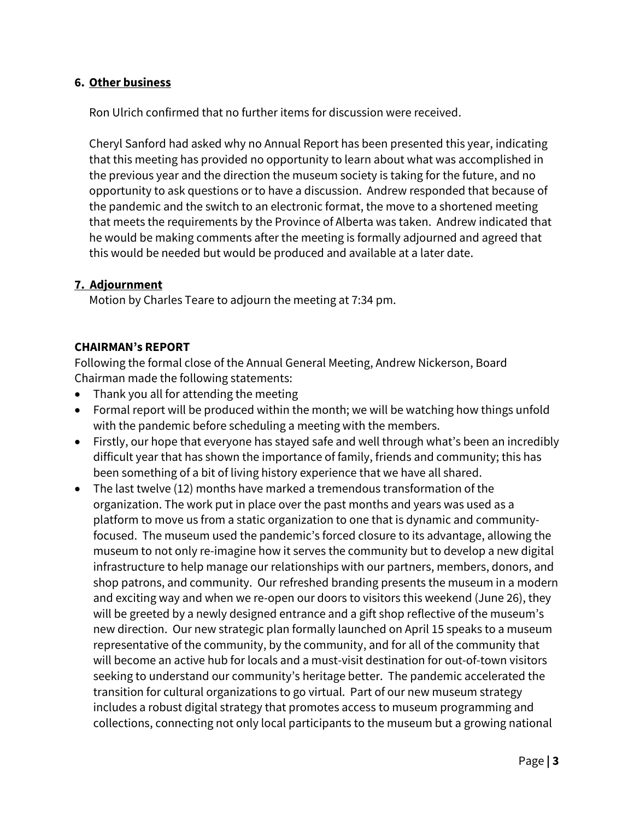#### **6. Other business**

Ron Ulrich confirmed that no further items for discussion were received.

Cheryl Sanford had asked why no Annual Report has been presented this year, indicating that this meeting has provided no opportunity to learn about what was accomplished in the previous year and the direction the museum society is taking for the future, and no opportunity to ask questions or to have a discussion. Andrew responded that because of the pandemic and the switch to an electronic format, the move to a shortened meeting that meets the requirements by the Province of Alberta was taken. Andrew indicated that he would be making comments after the meeting is formally adjourned and agreed that this would be needed but would be produced and available at a later date.

#### **7. Adjournment**

Motion by Charles Teare to adjourn the meeting at 7:34 pm.

# **CHAIRMAN's REPORT**

Following the formal close of the Annual General Meeting, Andrew Nickerson, Board Chairman made the following statements:

- Thank you all for attending the meeting
- Formal report will be produced within the month; we will be watching how things unfold with the pandemic before scheduling a meeting with the members.
- Firstly, our hope that everyone has stayed safe and well through what's been an incredibly difficult year that has shown the importance of family, friends and community; this has been something of a bit of living history experience that we have all shared.
- The last twelve (12) months have marked a tremendous transformation of the organization. The work put in place over the past months and years was used as a platform to move us from a static organization to one that is dynamic and communityfocused. The museum used the pandemic's forced closure to its advantage, allowing the museum to not only re-imagine how it serves the community but to develop a new digital infrastructure to help manage our relationships with our partners, members, donors, and shop patrons, and community. Our refreshed branding presents the museum in a modern and exciting way and when we re-open our doors to visitors this weekend (June 26), they will be greeted by a newly designed entrance and a gift shop reflective of the museum's new direction. Our new strategic plan formally launched on April 15 speaks to a museum representative of the community, by the community, and for all of the community that will become an active hub for locals and a must-visit destination for out-of-town visitors seeking to understand our community's heritage better. The pandemic accelerated the transition for cultural organizations to go virtual. Part of our new museum strategy includes a robust digital strategy that promotes access to museum programming and collections, connecting not only local participants to the museum but a growing national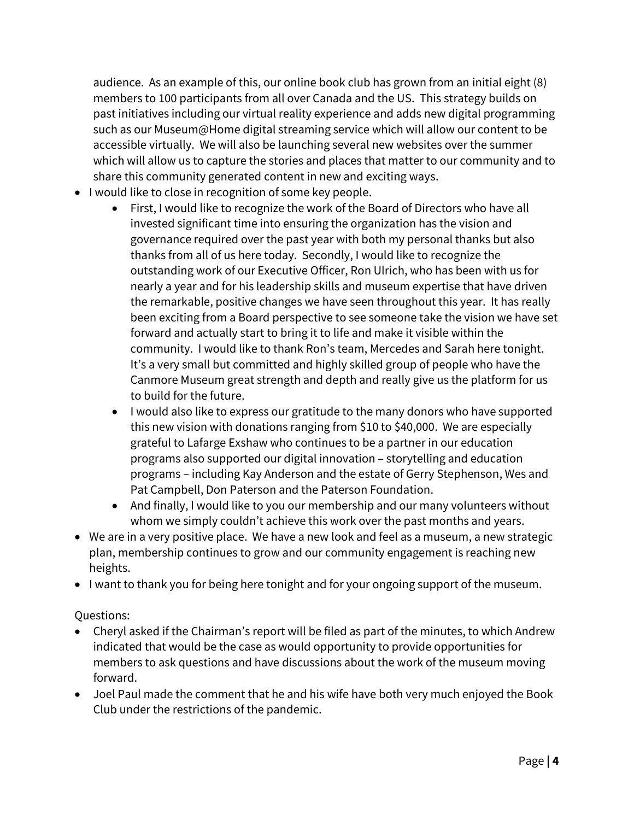audience. As an example of this, our online book club has grown from an initial eight (8) members to 100 participants from all over Canada and the US. This strategy builds on past initiatives including our virtual reality experience and adds new digital programming such as our Museum@Home digital streaming service which will allow our content to be accessible virtually. We will also be launching several new websites over the summer which will allow us to capture the stories and places that matter to our community and to share this community generated content in new and exciting ways.

- I would like to close in recognition of some key people.
	- First, I would like to recognize the work of the Board of Directors who have all invested significant time into ensuring the organization has the vision and governance required over the past year with both my personal thanks but also thanks from all of us here today. Secondly, I would like to recognize the outstanding work of our Executive Officer, Ron Ulrich, who has been with us for nearly a year and for his leadership skills and museum expertise that have driven the remarkable, positive changes we have seen throughout this year. It has really been exciting from a Board perspective to see someone take the vision we have set forward and actually start to bring it to life and make it visible within the community. I would like to thank Ron's team, Mercedes and Sarah here tonight. It's a very small but committed and highly skilled group of people who have the Canmore Museum great strength and depth and really give us the platform for us to build for the future.
	- I would also like to express our gratitude to the many donors who have supported this new vision with donations ranging from \$10 to \$40,000. We are especially grateful to Lafarge Exshaw who continues to be a partner in our education programs also supported our digital innovation – storytelling and education programs – including Kay Anderson and the estate of Gerry Stephenson, Wes and Pat Campbell, Don Paterson and the Paterson Foundation.
	- And finally, I would like to you our membership and our many volunteers without whom we simply couldn't achieve this work over the past months and years.
- We are in a very positive place. We have a new look and feel as a museum, a new strategic plan, membership continues to grow and our community engagement is reaching new heights.
- I want to thank you for being here tonight and for your ongoing support of the museum.

# Questions:

- Cheryl asked if the Chairman's report will be filed as part of the minutes, to which Andrew indicated that would be the case as would opportunity to provide opportunities for members to ask questions and have discussions about the work of the museum moving forward.
- Joel Paul made the comment that he and his wife have both very much enjoyed the Book Club under the restrictions of the pandemic.